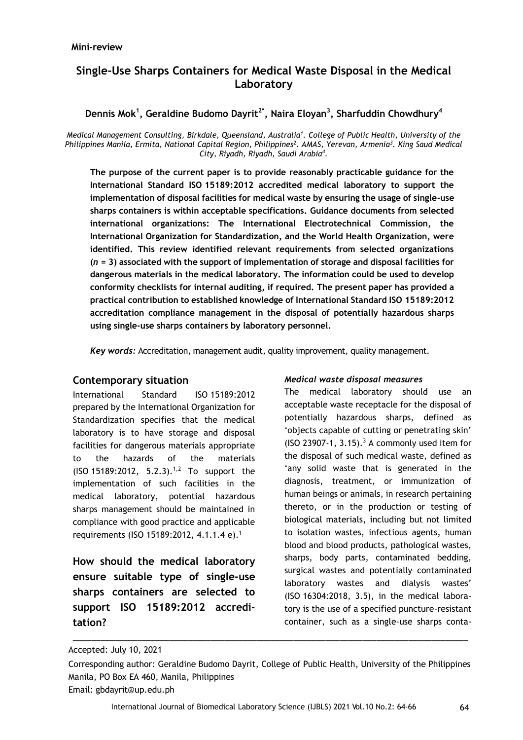# **Single-Use Sharps Containers for Medical Waste Disposal in the Medical Laboratory**

**Dennis Mok<sup>1</sup> , Geraldine Budomo Dayrit2\* , Naira Eloyan<sup>3</sup> , Sharfuddin Chowdhury<sup>4</sup>**

*Medical Management Consulting, Birkdale, Queensland, Australia<sup>1</sup> . College of Public Health, University of the Philippines Manila, Ermita, National Capital Region, Philippines<sup>2</sup> . AMAS, Yerevan, Armenia<sup>3</sup> . King Saud Medical City, Riyadh, Riyadh, Saudi Arabia<sup>4</sup> .*

**The purpose of the current paper is to provide reasonably practicable guidance for the International Standard ISO 15189:2012 accredited medical laboratory to support the implementation of disposal facilities for medical waste by ensuring the usage of single-use sharps containers is within acceptable specifications. Guidance documents from selected international organizations: The International Electrotechnical Commission, the International Organization for Standardization, and the World Health Organization, were identified. This review identified relevant requirements from selected organizations (***n* **= 3) associated with the support of implementation of storage and disposal facilities for dangerous materials in the medical laboratory. The information could be used to develop conformity checklists for internal auditing, if required. The present paper has provided a practical contribution to established knowledge of International Standard ISO 15189:2012 accreditation compliance management in the disposal of potentially hazardous sharps using single-use sharps containers by laboratory personnel.** 

*Key words:* Accreditation, management audit, quality improvement, quality management.

### **Contemporary situation**

International Standard ISO 15189:2012 prepared by the International Organization for Standardization specifies that the medical laboratory is to have storage and disposal facilities for dangerous materials appropriate to the hazards of the materials (ISO 15189:2012, 5.2.3).<sup>1,2</sup> To support the implementation of such facilities in the medical laboratory, potential hazardous sharps management should be maintained in compliance with good practice and applicable requirements (ISO 15189:2012, 4.1.1.4 e).<sup>1</sup>

**How should the medical laboratory ensure suitable type of single-use sharps containers are selected to support ISO 15189:2012 accreditation?**

### *Medical waste disposal measures*

The medical laboratory should use an acceptable waste receptacle for the disposal of potentially hazardous sharps, defined as 'objects capable of cutting or penetrating skin' (ISO 23907-1, 3.15). $3$  A commonly used item for the disposal of such medical waste, defined as 'any solid waste that is generated in the diagnosis, treatment, or immunization of human beings or animals, in research pertaining thereto, or in the production or testing of biological materials, including but not limited to isolation wastes, infectious agents, human blood and blood products, pathological wastes, sharps, body parts, contaminated bedding, surgical wastes and potentially contaminated laboratory wastes and dialysis wastes' (ISO 16304:2018, 3.5), in the medical laboratory is the use of a specified puncture-resistant container, such as a single-use sharps conta-

Accepted: July 10, 2021

\_\_\_\_\_\_\_\_\_\_\_\_\_\_\_\_\_\_\_\_\_\_\_\_\_\_\_\_\_\_\_\_\_\_\_\_\_\_\_\_\_\_\_\_\_\_\_\_\_\_\_\_\_\_\_\_\_\_\_\_\_\_\_\_\_\_\_\_\_\_\_\_\_\_\_\_\_\_\_\_\_\_\_\_\_\_

Corresponding author: Geraldine Budomo Dayrit, College of Public Health, University of the Philippines Manila, PO Box EA 460, Manila, Philippines Email: gbdayrit@up.edu.ph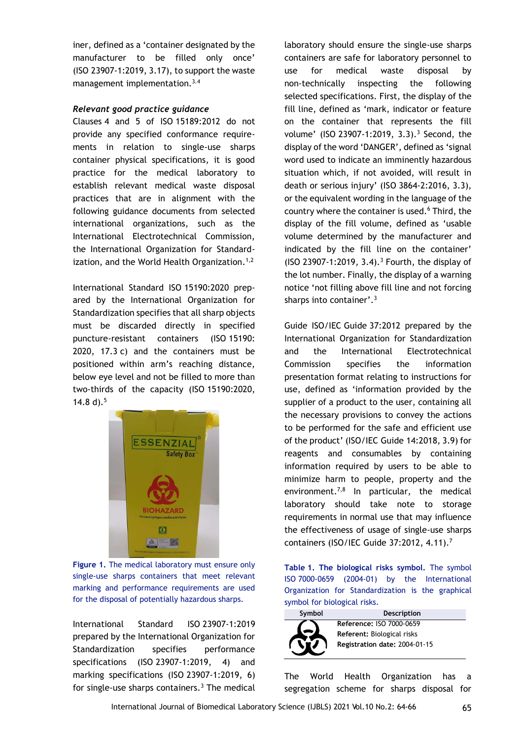iner, defined as a 'container designated by the manufacturer to be filled only once' (ISO 23907-1:2019, 3.17), to support the waste management implementation.<sup>3.4</sup>

### *Relevant good practice guidance*

Clauses 4 and 5 of ISO 15189:2012 do not provide any specified conformance requirements in relation to single-use sharps container physical specifications, it is good practice for the medical laboratory to establish relevant medical waste disposal practices that are in alignment with the following guidance documents from selected international organizations, such as the International Electrotechnical Commission, the International Organization for Standardization, and the World Health Organization.<sup>1,2</sup>

International Standard ISO 15190:2020 prepared by the International Organization for Standardization specifies that all sharp objects must be discarded directly in specified puncture-resistant containers (ISO 15190: 2020, 17.3 c) and the containers must be positioned within arm's reaching distance, below eye level and not be filled to more than two-thirds of the capacity (ISO 15190:2020, 14.8 d). $5$ 



**Figure 1.** The medical laboratory must ensure only single-use sharps containers that meet relevant marking and performance requirements are used for the disposal of potentially hazardous sharps.

International Standard ISO 23907-1:2019 prepared by the International Organization for Standardization specifies performance specifications (ISO 23907-1:2019, 4) and marking specifications (ISO 23907-1:2019, 6) for single-use sharps containers.<sup>3</sup> The medical

laboratory should ensure the single-use sharps containers are safe for laboratory personnel to use for medical waste disposal by non-technically inspecting the following selected specifications. First, the display of the fill line, defined as 'mark, indicator or feature on the container that represents the fill volume' (ISO 23907-1:2019, 3.3).<sup>3</sup> Second, the display of the word 'DANGER', defined as 'signal word used to indicate an imminently hazardous situation which, if not avoided, will result in death or serious injury' (ISO 3864-2:2016, 3.3), or the equivalent wording in the language of the country where the container is used.<sup>6</sup> Third, the display of the fill volume, defined as 'usable volume determined by the manufacturer and indicated by the fill line on the container' (ISO 23907-1:2019, 3.4).<sup>3</sup> Fourth, the display of the lot number. Finally, the display of a warning notice 'not filling above fill line and not forcing sharps into container'.<sup>3</sup>

Guide ISO/IEC Guide 37:2012 prepared by the International Organization for Standardization and the International Electrotechnical Commission specifies the information presentation format relating to instructions for use, defined as 'information provided by the supplier of a product to the user, containing all the necessary provisions to convey the actions to be performed for the safe and efficient use of the product' (ISO/IEC Guide 14:2018, 3.9) for reagents and consumables by containing information required by users to be able to minimize harm to people, property and the environment.<sup>7,8</sup> In particular, the medical laboratory should take note to storage requirements in normal use that may influence the effectiveness of usage of single-use sharps containers (ISO/IEC Guide 37:2012, 4.11).<sup>7</sup>

**Table 1. The biological risks symbol.** The symbol ISO 7000-0659 (2004-01) by the International Organization for Standardization is the graphical symbol for biological risks.



The World Health Organization has a segregation scheme for sharps disposal for